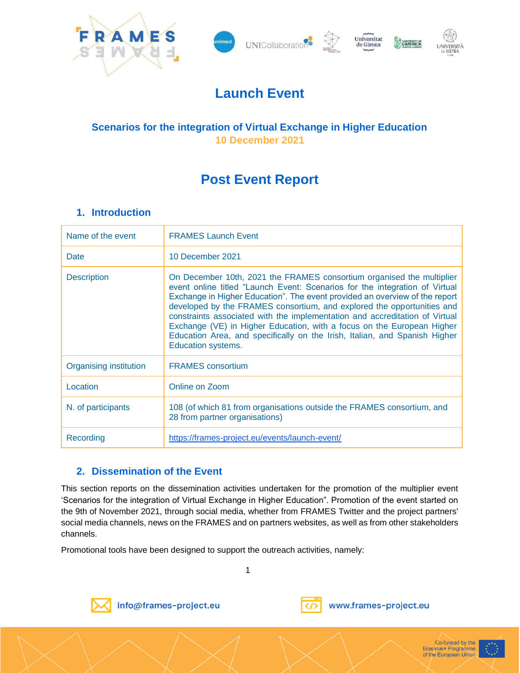









## **Launch Event**

## **Scenarios for the integration of Virtual Exchange in Higher Education 10 December 2021**

# **Post Event Report**

## **1. Introduction**

| Name of the event      | <b>FRAMES Launch Event</b>                                                                                                                                                                                                                                                                                                                                                                                                                                                                                                                                                 |
|------------------------|----------------------------------------------------------------------------------------------------------------------------------------------------------------------------------------------------------------------------------------------------------------------------------------------------------------------------------------------------------------------------------------------------------------------------------------------------------------------------------------------------------------------------------------------------------------------------|
| Date                   | 10 December 2021                                                                                                                                                                                                                                                                                                                                                                                                                                                                                                                                                           |
| <b>Description</b>     | On December 10th, 2021 the FRAMES consortium organised the multiplier<br>event online titled "Launch Event: Scenarios for the integration of Virtual<br>Exchange in Higher Education". The event provided an overview of the report<br>developed by the FRAMES consortium, and explored the opportunities and<br>constraints associated with the implementation and accreditation of Virtual<br>Exchange (VE) in Higher Education, with a focus on the European Higher<br>Education Area, and specifically on the Irish, Italian, and Spanish Higher<br>Education systems. |
| Organising institution | <b>FRAMES</b> consortium                                                                                                                                                                                                                                                                                                                                                                                                                                                                                                                                                   |
| Location               | Online on Zoom                                                                                                                                                                                                                                                                                                                                                                                                                                                                                                                                                             |
| N. of participants     | 108 (of which 81 from organisations outside the FRAMES consortium, and<br>28 from partner organisations)                                                                                                                                                                                                                                                                                                                                                                                                                                                                   |
| Recording              | https://frames-project.eu/events/launch-event/                                                                                                                                                                                                                                                                                                                                                                                                                                                                                                                             |

## **2. Dissemination of the Event**

This section reports on the dissemination activities undertaken for the promotion of the multiplier event 'Scenarios for the integration of Virtual Exchange in Higher Education". Promotion of the event started on the 9th of November 2021, through social media, whether from FRAMES Twitter and the project partners' social media channels, news on the FRAMES and on partners websites, as well as from other stakeholders channels.

1

Promotional tools have been designed to support the outreach activities, namely:



info@frames-project.eu



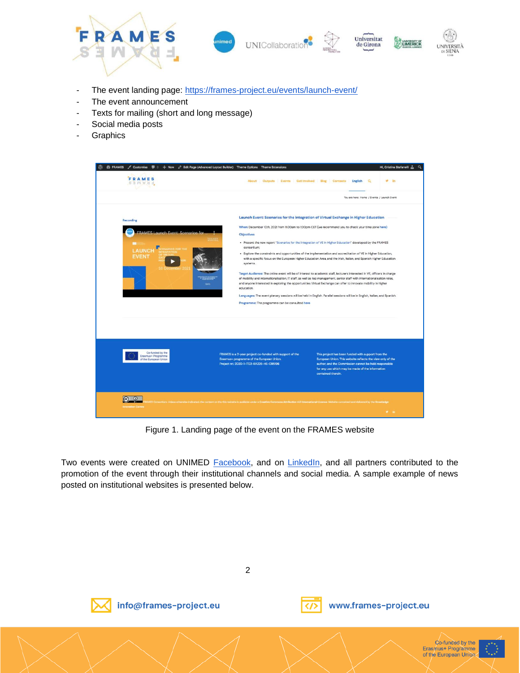

- The event landing page:<https://frames-project.eu/events/launch-event/>
- The event announcement
- Texts for mailing (short and long message)
- Social media posts
- Graphics

| FRAMES<br>S 3 W W 8 3                                           | About Outputs Events Get Involved Blog                                                                | $y = in$<br>Contacts<br>English<br>a                                                                                                                                                                                                                |
|-----------------------------------------------------------------|-------------------------------------------------------------------------------------------------------|-----------------------------------------------------------------------------------------------------------------------------------------------------------------------------------------------------------------------------------------------------|
|                                                                 |                                                                                                       | You are here: Home / Events / Launch Event                                                                                                                                                                                                          |
| Recording                                                       |                                                                                                       | Launch Event: Scenarios for the integration of Virtual Exchange in Higher Education                                                                                                                                                                 |
|                                                                 |                                                                                                       | When: December 10th, 2021 from 11.00am to 1:00pm CET (we recommend you to check your time zone here)                                                                                                                                                |
|                                                                 | Objectives<br>consortium:                                                                             | . Present the new report "Scenarios for the integration of VE in Higher Education" developed by the FRAMES                                                                                                                                          |
| <b>AUNC</b><br><b>EVENT</b>                                     | systems.                                                                                              | . Explore the constraints and opportunities of the implementation and accreditation of VE in Higher Education,<br>with a specific focus on the European Higher Education Area, and the Irish, Italian, and Spanish Higher Education                 |
| 10 Becambe                                                      |                                                                                                       | Target Audience: The online event will be of interest to academic staff, lecturers interested in VE, officers in charge<br>of mobility and internationalisation, IT staff, as well as top management, senior staff with internationalisation roles, |
|                                                                 | education.                                                                                            | and anyone interested in exploring the opportunities Virtual Exchange can offer to innovate mobility in higher                                                                                                                                      |
|                                                                 | Programme: The programme can be consulted here                                                        | Languages: The event plenary sessions will be held in English. Parallel sessions will be in English, Italian, and Spanish.                                                                                                                          |
|                                                                 |                                                                                                       |                                                                                                                                                                                                                                                     |
| Co-funded by the<br>Erasmus+ Programme<br>of the European Union | FRAMES is a 2-year project co-funded with support of the<br>Erasmus+ programme of the European Union. | This project has been funded with support from the<br>European Union. This website reflects the view only of the                                                                                                                                    |
|                                                                 | Project nr.: 2020-1-1T02-KA226-HE-095196                                                              | author, and the Commission cannot be held responsible<br>for any use which may be made of the information<br>contained therein.                                                                                                                     |
|                                                                 |                                                                                                       |                                                                                                                                                                                                                                                     |

Figure 1. Landing page of the event on the FRAMES website

Two events were created on UNIMED [Facebook,](https://www.facebook.com/events/1046501249459869/?active_tab=discussion) and on [LinkedIn,](https://www.linkedin.com/events/launchevent-scenariosfortheinte6864185808853729280/) and all partners contributed to the promotion of the event through their institutional channels and social media. A sample example of news posted on institutional websites is presented below.

2



info@frames-project.eu



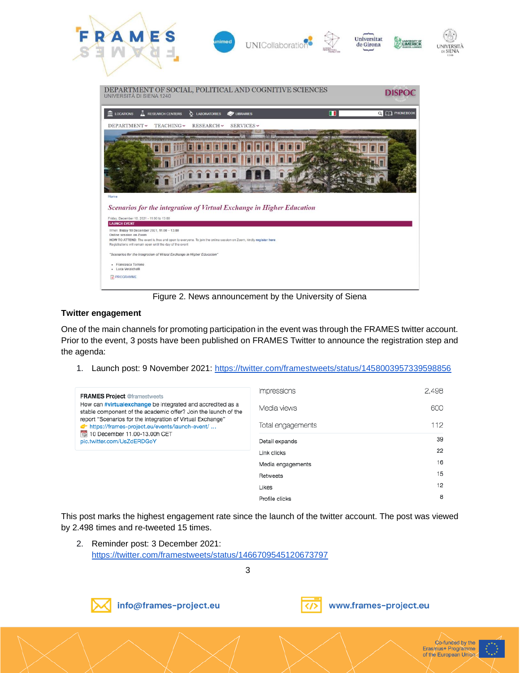

Figure 2. News announcement by the University of Siena

#### **Twitter engagement**

One of the main channels for promoting participation in the event was through the FRAMES twitter account. Prior to the event, 3 posts have been published on FRAMES Twitter to announce the registration step and the agenda:

1. Launch post: 9 November 2021: [https://twitter.com/framestweets/status/1458003957339598856](https://twitter.com/framestweets/status/1458003957339598856*)

| <b>FRAMES Project @framestweets</b>                                                                                          | Impressions       | 2,498 |
|------------------------------------------------------------------------------------------------------------------------------|-------------------|-------|
| How can #virtualexchange be integrated and accredited as a<br>stable component of the academic offer? Join the launch of the | Media views       | 600   |
| report "Scenarios for the integration of Virtual Exchange"<br>frames-project.eu/events/launch-event/                         | Total engagements | 112   |
| 12 10 December 11.00-13.00h CET<br>pic.twitter.com/UsZdERDGoY                                                                | Detail expands    | 39    |
|                                                                                                                              | Link clicks       | 22    |
|                                                                                                                              | Media engagements | 16    |
|                                                                                                                              | Retweets          | 15    |
|                                                                                                                              | Likes             | 12    |
|                                                                                                                              | Profile clicks    | 8     |

This post marks the highest engagement rate since the launch of the twitter account. The post was viewed by 2.498 times and re-tweeted 15 times.

2. Reminder post: 3 December 2021: <https://twitter.com/framestweets/status/1466709545120673797>

3



info@frames-project.eu





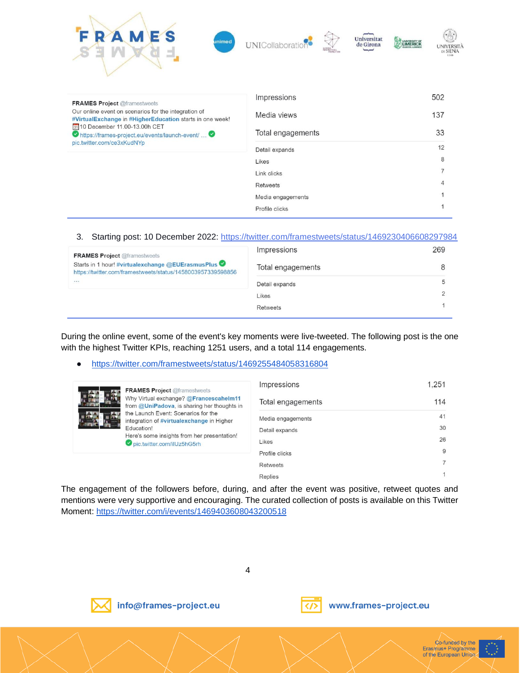| RAMES<br><b>inimed</b>                                                                                           | Universitat<br>UNICollaborati<br>de Girona | UNIVERSITY OF<br>UNIVERSITÀ<br>DI SIENA<br>1240 |
|------------------------------------------------------------------------------------------------------------------|--------------------------------------------|-------------------------------------------------|
| <b>FRAMES Project @framestweets</b>                                                                              | Impressions                                | 502                                             |
| Our online event on scenarios for the integration of<br>#VirtualExchange in #HigherEducation starts in one week! | Media views                                | 137                                             |
| 31 10 December 11.00-13.00h CET<br>https://frames-project.eu/events/launch-event/<br>pic.twitter.com/ce3xKudNYp  | Total engagements                          | 33                                              |
|                                                                                                                  | Detail expands                             | 12                                              |
|                                                                                                                  | Likes                                      | 8                                               |
|                                                                                                                  | Link clicks                                | $\overline{7}$                                  |
|                                                                                                                  | <b>Retweets</b>                            |                                                 |
|                                                                                                                  | Media engagements                          |                                                 |
|                                                                                                                  | Profile clicks                             |                                                 |

#### 3. Starting post: 10 December 2022:<https://twitter.com/framestweets/status/1469230406608297984>

| <b>FRAMES Project @framestweets</b>                                                                              | Impressions       | 269 |
|------------------------------------------------------------------------------------------------------------------|-------------------|-----|
| Starts in 1 hour! #virtualexchange @EUErasmusPlus<br>https://twitter.com/framestweets/status/1458003957339598856 | Total engagements |     |
| $\mathbf{v},\mathbf{v},\mathbf{v}$                                                                               | Detail expands    | 5   |
|                                                                                                                  | Likes             |     |
|                                                                                                                  | <b>Retweets</b>   |     |
|                                                                                                                  |                   |     |

During the online event, some of the event's key moments were live-tweeted. The following post is the one with the highest Twitter KPIs, reaching 1251 users, and a total 114 engagements.

#### ● <https://twitter.com/framestweets/status/1469255484058316804>

|                                          | <b>FRAMES Project @framestweets</b>                                                                                                                                       | Impressions       | 1,251 |
|------------------------------------------|---------------------------------------------------------------------------------------------------------------------------------------------------------------------------|-------------------|-------|
| Education!<br>pic.twitter.com/ilUz5hG5rh | Why Virtual exchange? @Francescahelm11<br>from @UniPadova, is sharing her thoughts in<br>the Launch Event: Scenarios for the<br>integration of #virtualexchange in Higher | Total engagements | 114   |
|                                          |                                                                                                                                                                           | Media engagements | 41    |
|                                          |                                                                                                                                                                           | Detail expands    | 30    |
|                                          | Here's some insights from her presentation!                                                                                                                               | Likes             | 26    |
|                                          |                                                                                                                                                                           | Profile clicks    | 9     |
|                                          |                                                                                                                                                                           | <b>Retweets</b>   |       |
|                                          |                                                                                                                                                                           | Replies           |       |

The engagement of the followers before, during, and after the event was positive, retweet quotes and mentions were very supportive and encouraging. The curated collection of posts is available on this Twitter Moment:<https://twitter.com/i/events/1469403608043200518>

4



info@frames-project.eu



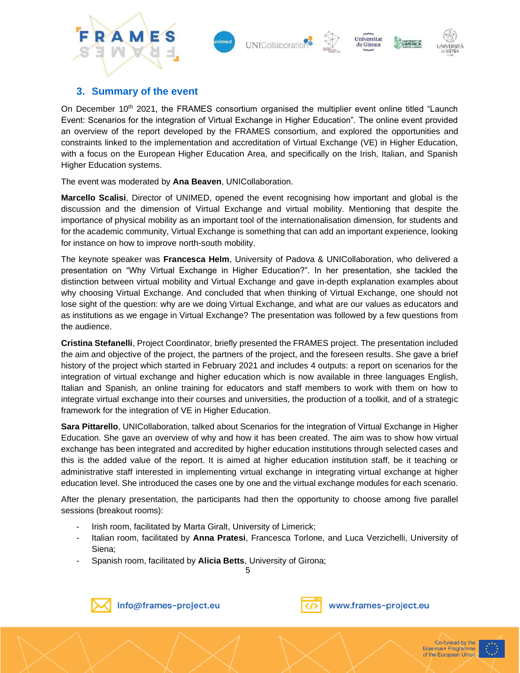





## **3. Summary of the event**

On December 10<sup>th</sup> 2021, the FRAMES consortium organised the multiplier event online titled "Launch Event: Scenarios for the integration of Virtual Exchange in Higher Education". The online event provided an overview of the report developed by the FRAMES consortium, and explored the opportunities and constraints linked to the implementation and accreditation of Virtual Exchange (VE) in Higher Education, with a focus on the European Higher Education Area, and specifically on the Irish, Italian, and Spanish Higher Education systems.

The event was moderated by **Ana Beaven**, UNICollaboration.

**Marcello Scalisi**, Director of UNIMED, opened the event recognising how important and global is the discussion and the dimension of Virtual Exchange and virtual mobility. Mentioning that despite the importance of physical mobility as an important tool of the internationalisation dimension, for students and for the academic community, Virtual Exchange is something that can add an important experience, looking for instance on how to improve north-south mobility.

The keynote speaker was **Francesca Helm**, University of Padova & UNICollaboration, who delivered a presentation on "Why Virtual Exchange in Higher Education?". In her presentation, she tackled the distinction between virtual mobility and Virtual Exchange and gave in-depth explanation examples about why choosing Virtual Exchange. And concluded that when thinking of Virtual Exchange, one should not lose sight of the question: why are we doing Virtual Exchange, and what are our values as educators and as institutions as we engage in Virtual Exchange? The presentation was followed by a few questions from the audience.

**Cristina Stefanelli**, Project Coordinator, briefly presented the FRAMES project. The presentation included the aim and objective of the project, the partners of the project, and the foreseen results. She gave a brief history of the project which started in February 2021 and includes 4 outputs: a report on scenarios for the integration of virtual exchange and higher education which is now available in three languages English, Italian and Spanish, an online training for educators and staff members to work with them on how to integrate virtual exchange into their courses and universities, the production of a toolkit, and of a strategic framework for the integration of VE in Higher Education.

**Sara Pittarello**, UNICollaboration, talked about Scenarios for the integration of Virtual Exchange in Higher Education. She gave an overview of why and how it has been created. The aim was to show how virtual exchange has been integrated and accredited by higher education institutions through selected cases and this is the added value of the report. It is aimed at higher education institution staff, be it teaching or administrative staff interested in implementing virtual exchange in integrating virtual exchange at higher education level. She introduced the cases one by one and the virtual exchange modules for each scenario.

After the plenary presentation, the participants had then the opportunity to choose among five parallel sessions (breakout rooms):

- Irish room, facilitated by Marta Giralt, University of Limerick;
- Italian room, facilitated by **Anna Pratesi**, Francesca Torlone, and Luca Verzichelli, University of Siena;
- Spanish room, facilitated by **Alicia Betts**, University of Girona;

5



info@frames-project.eu

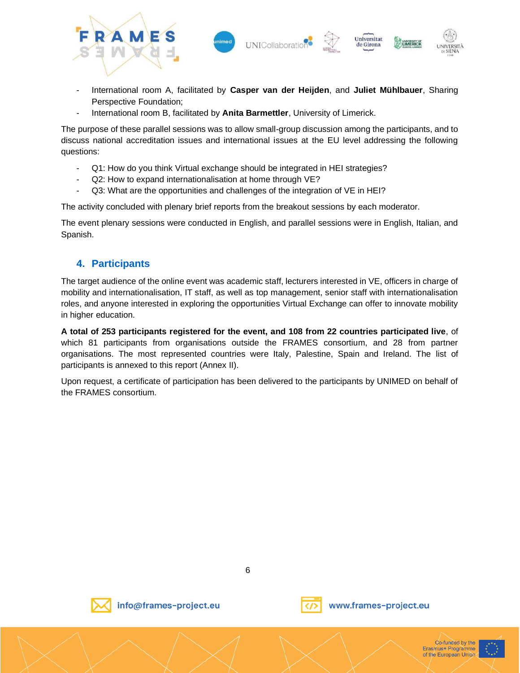

- International room A, facilitated by **Casper van der Heijden**, and **Juliet Mühlbauer**, Sharing Perspective Foundation;
- International room B, facilitated by **Anita Barmettler**, University of Limerick.

The purpose of these parallel sessions was to allow small-group discussion among the participants, and to discuss national accreditation issues and international issues at the EU level addressing the following questions:

- Q1: How do you think Virtual exchange should be integrated in HEI strategies?
- Q2: How to expand internationalisation at home through VE?
- Q3: What are the opportunities and challenges of the integration of VE in HEI?

The activity concluded with plenary brief reports from the breakout sessions by each moderator.

The event plenary sessions were conducted in English, and parallel sessions were in English, Italian, and Spanish.

## **4. Participants**

The target audience of the online event was academic staff, lecturers interested in VE, officers in charge of mobility and internationalisation, IT staff, as well as top management, senior staff with internationalisation roles, and anyone interested in exploring the opportunities Virtual Exchange can offer to innovate mobility in higher education.

**A total of 253 participants registered for the event, and 108 from 22 countries participated live**, of which 81 participants from organisations outside the FRAMES consortium, and 28 from partner organisations. The most represented countries were Italy, Palestine, Spain and Ireland. The list of participants is annexed to this report (Annex II).

Upon request, a certificate of participation has been delivered to the participants by UNIMED on behalf of the FRAMES consortium.

6



info@frames-project.eu





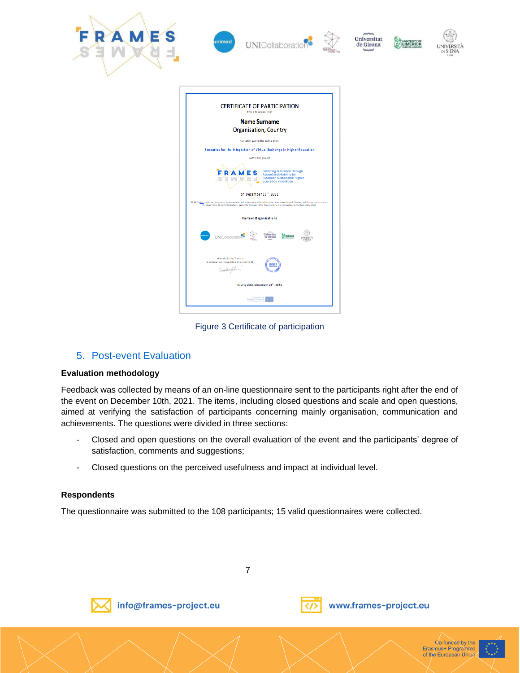

Figure 3 Certificate of participation

## 5. Post-event Evaluation

#### **Evaluation methodology**

Feedback was collected by means of an on-line questionnaire sent to the participants right after the end of the event on December 10th, 2021. The items, including closed questions and scale and open questions, aimed at verifying the satisfaction of participants concerning mainly organisation, communication and achievements. The questions were divided in three sections:

- Closed and open questions on the overall evaluation of the event and the participants' degree of satisfaction, comments and suggestions;
- Closed questions on the perceived usefulness and impact at individual level.

#### **Respondents**

The questionnaire was submitted to the 108 participants; 15 valid questionnaires were collected.

7



info@frames-project.eu



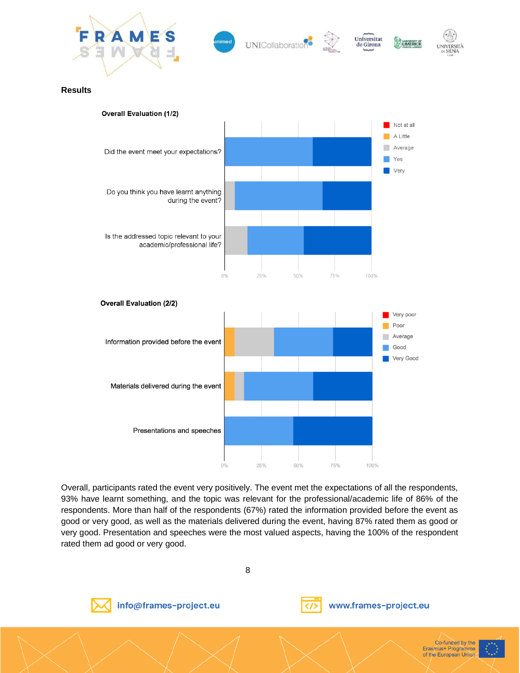

UNICollaboratio

Universitat

de Girona



**Results**



Overall, participants rated the event very positively. The event met the expectations of all the respondents, 93% have learnt something, and the topic was relevant for the professional/academic life of 86% of the respondents. More than half of the respondents (67%) rated the information provided before the event as good or very good, as well as the materials delivered during the event, having 87% rated them as good or very good. Presentation and speeches were the most valued aspects, having the 100% of the respondent rated them ad good or very good.

8

info@frames-project.eu





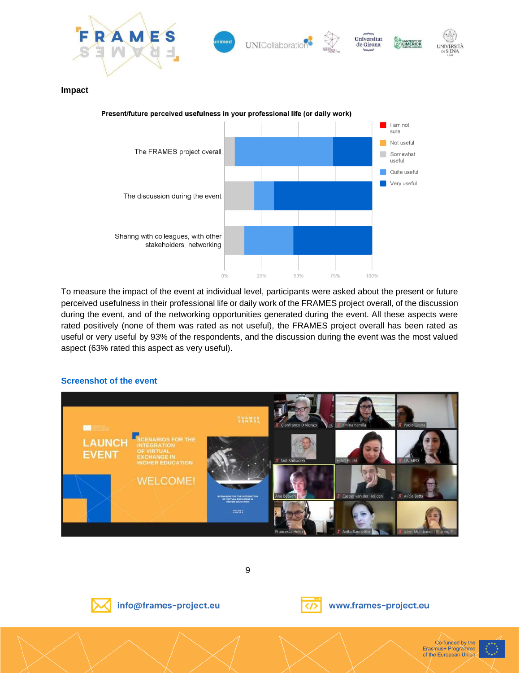

To measure the impact of the event at individual level, participants were asked about the present or future perceived usefulness in their professional life or daily work of the FRAMES project overall, of the discussion during the event, and of the networking opportunities generated during the event. All these aspects were rated positively (none of them was rated as not useful), the FRAMES project overall has been rated as useful or very useful by 93% of the respondents, and the discussion during the event was the most valued aspect (63% rated this aspect as very useful).

25%

50%

75%

100%

 $0\%$ 

#### **Screenshot of the event**



9



info@frames-project.eu

Sharing with colleagues, with other

stakeholders, networking